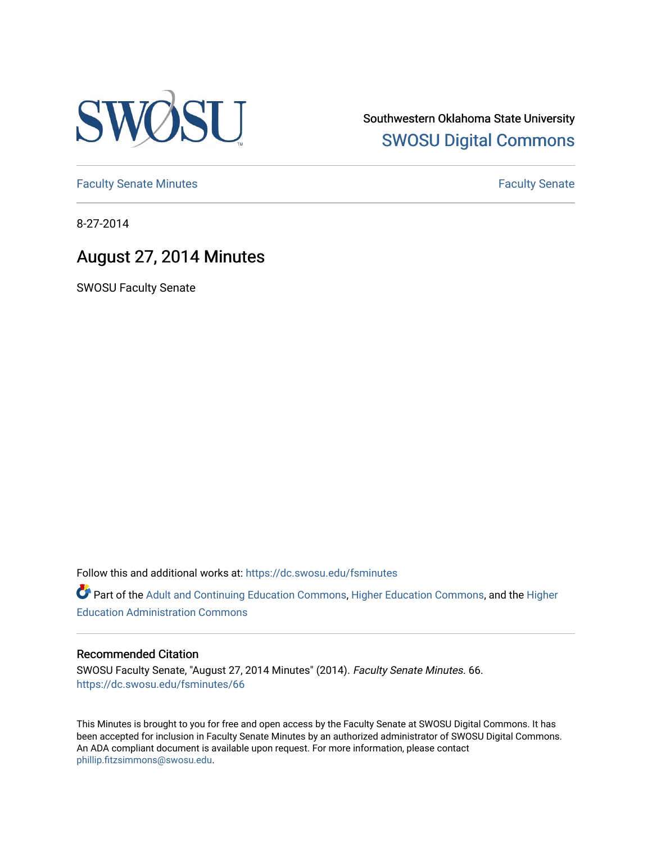

Southwestern Oklahoma State University [SWOSU Digital Commons](https://dc.swosu.edu/) 

[Faculty Senate Minutes](https://dc.swosu.edu/fsminutes) **Faculty** Senate Minutes

8-27-2014

# August 27, 2014 Minutes

SWOSU Faculty Senate

Follow this and additional works at: [https://dc.swosu.edu/fsminutes](https://dc.swosu.edu/fsminutes?utm_source=dc.swosu.edu%2Ffsminutes%2F66&utm_medium=PDF&utm_campaign=PDFCoverPages) 

Part of the [Adult and Continuing Education Commons,](http://network.bepress.com/hgg/discipline/1375?utm_source=dc.swosu.edu%2Ffsminutes%2F66&utm_medium=PDF&utm_campaign=PDFCoverPages) [Higher Education Commons,](http://network.bepress.com/hgg/discipline/1245?utm_source=dc.swosu.edu%2Ffsminutes%2F66&utm_medium=PDF&utm_campaign=PDFCoverPages) and the [Higher](http://network.bepress.com/hgg/discipline/791?utm_source=dc.swosu.edu%2Ffsminutes%2F66&utm_medium=PDF&utm_campaign=PDFCoverPages) [Education Administration Commons](http://network.bepress.com/hgg/discipline/791?utm_source=dc.swosu.edu%2Ffsminutes%2F66&utm_medium=PDF&utm_campaign=PDFCoverPages) 

#### Recommended Citation

SWOSU Faculty Senate, "August 27, 2014 Minutes" (2014). Faculty Senate Minutes. 66. [https://dc.swosu.edu/fsminutes/66](https://dc.swosu.edu/fsminutes/66?utm_source=dc.swosu.edu%2Ffsminutes%2F66&utm_medium=PDF&utm_campaign=PDFCoverPages) 

This Minutes is brought to you for free and open access by the Faculty Senate at SWOSU Digital Commons. It has been accepted for inclusion in Faculty Senate Minutes by an authorized administrator of SWOSU Digital Commons. An ADA compliant document is available upon request. For more information, please contact [phillip.fitzsimmons@swosu.edu](mailto:phillip.fitzsimmons@swosu.edu).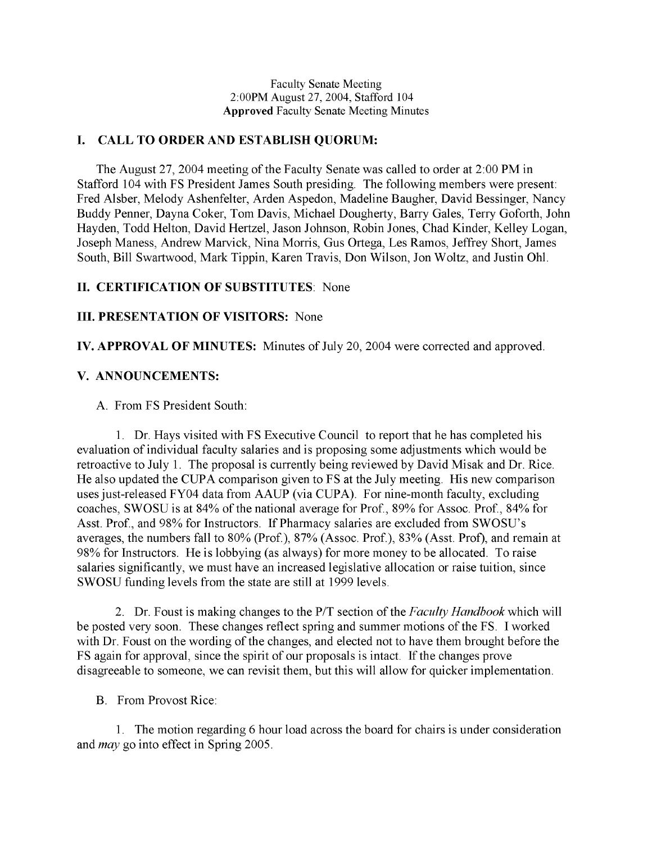Faculty Senate Meeting 2:00PM August 27, 2004, Stafford 104 **Approved** Faculty Senate Meeting Minutes

# **I. CALL TO ORDER AND ESTABLISH QUORUM:**

The August 27, 2004 meeting of the Faculty Senate was called to order at 2:00 PM in Stafford 104 with FS President James South presiding. The following members were present: Fred Alsber, Melody Ashenfelter, Arden Aspedon, Madeline Baugher, David Bessinger, Nancy Buddy Penner, Dayna Coker, Tom Davis, Michael Dougherty, Barry Gales, Terry Goforth, John Hayden, Todd Helton, David Hertzel, Jason Johnson, Robin Jones, Chad Kinder, Kelley Logan, Joseph Maness, Andrew Marvick, Nina Morris, Gus Ortega, Les Ramos, Jeffrey Short, James South, Bill Swartwood, Mark Tippin, Karen Travis, Don Wilson, Jon Woltz, and Justin Ohl.

# **II. CERTIFICATION OF SUBSTITUTES**: None

## **III. PRESENTATION OF VISITORS:** None

**IV. APPROVAL OF MINUTES:** Minutes of July 20, 2004 were corrected and approved.

## **V. ANNOUNCEMENTS:**

A. From FS President South:

1. Dr. Hays visited with FS Executive Council to report that he has completed his evaluation of individual faculty salaries and is proposing some adjustments which would be retroactive to July 1. The proposal is currently being reviewed by David Misak and Dr. Rice. He also updated the CUPA comparison given to FS at the July meeting. His new comparison uses just-released FY04 data from AAUP (via CUPA). For nine-month faculty, excluding coaches, SWOSU is at 84% of the national average for Prof., 89% for Assoc. Prof., 84% for Asst. Prof., and 98% for Instructors. If Pharmacy salaries are excluded from SWOSU's averages, the numbers fall to 80% (Prof.), 87% (Assoc. Prof.), 83% (Asst. Prof), and remain at 98% for Instructors. He is lobbying (as always) for more money to be allocated. To raise salaries significantly, we must have an increased legislative allocation or raise tuition, since SWOSU funding levels from the state are still at 1999 levels.

2. Dr. Foust is making changes to the P/T section of the *Faculty Handbook* which will be posted very soon. These changes reflect spring and summer motions of the FS. I worked with Dr. Foust on the wording of the changes, and elected not to have them brought before the FS again for approval, since the spirit of our proposals is intact. If the changes prove disagreeable to someone, we can revisit them, but this will allow for quicker implementation.

B. From Provost Rice:

1. The motion regarding 6 hour load across the board for chairs is under consideration and *may* go into effect in Spring 2005.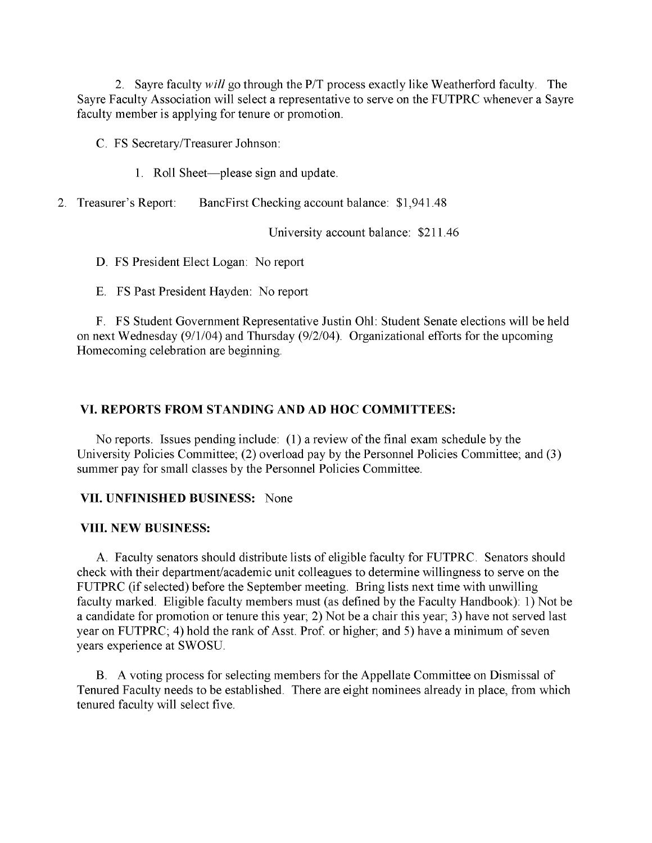2. Sayre faculty *will* go through the P/T process exactly like Weatherford faculty. The Sayre Faculty Association will select a representative to serve on the FUTPRC whenever a Sayre faculty member is applying for tenure or promotion.

C. FS Secretary/Treasurer Johnson:

- 1. Roll Sheet—please sign and update.
- 2. Treasurer's Report: BancFirst Checking account balance: \$1,941.48

University account balance: \$211.46

D. FS President Elect Logan: No report

E. FS Past President Hayden: No report

F. FS Student Government Representative Justin Ohl: Student Senate elections will be held on next Wednesday (9/1/04) and Thursday (9/2/04). Organizational efforts for the upcoming Homecoming celebration are beginning.

# **VI. REPORTS FROM STANDING AND AD HOC COMMITTEES:**

No reports. Issues pending include: (1) a review of the final exam schedule by the University Policies Committee; (2) overload pay by the Personnel Policies Committee; and (3) summer pay for small classes by the Personnel Policies Committee.

# **VII. UNFINISHED BUSINESS:** None

#### **VIII. NEW BUSINESS:**

A. Faculty senators should distribute lists of eligible faculty for FUTPRC. Senators should check with their department/academic unit colleagues to determine willingness to serve on the FUTPRC (if selected) before the September meeting. Bring lists next time with unwilling faculty marked. Eligible faculty members must (as defined by the Faculty Handbook): 1) Not be a candidate for promotion or tenure this year; 2) Not be a chair this year; 3) have not served last year on FUTPRC; 4) hold the rank of Asst. Prof. or higher; and 5) have a minimum of seven years experience at SWOSU.

B. A voting process for selecting members for the Appellate Committee on Dismissal of Tenured Faculty needs to be established. There are eight nominees already in place, from which tenured faculty will select five.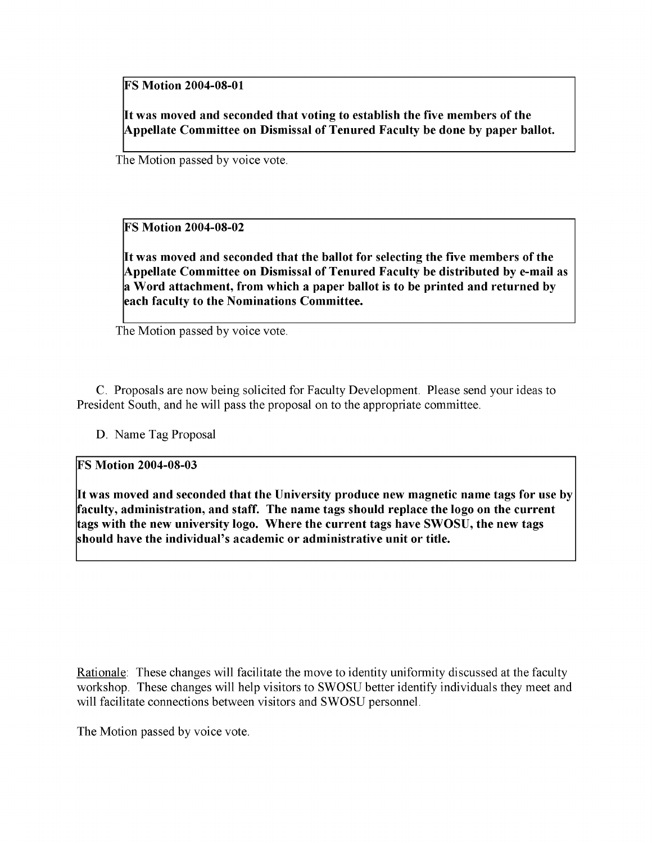**FS Motion 2004-08-01**

**It was moved and seconded that voting to establish the five members of the Appellate Committee on Dismissal of Tenured Faculty be done by paper ballot.**

The Motion passed by voice vote.

**FS Motion 2004-08-02**

**It was moved and seconded that the ballot for selecting the five members of the Appellate Committee on Dismissal of Tenured Faculty be distributed by e-mail as a Word attachment, from which a paper ballot is to be printed and returned by each faculty to the Nominations Committee.**

The Motion passed by voice vote.

C. Proposals are now being solicited for Faculty Development. Please send your ideas to President South, and he will pass the proposal on to the appropriate committee.

D. Name Tag Proposal

**FS Motion 2004-08-03**

**It was moved and seconded that the University produce new magnetic name tags for use by faculty, administration, and staff. The name tags should replace the logo on the current tags with the new university logo. Where the current tags have SWOSU, the new tags should have the individual's academic or administrative unit or title.**

Rationale: These changes will facilitate the move to identity uniformity discussed at the faculty workshop. These changes will help visitors to SWOSU better identify individuals they meet and will facilitate connections between visitors and SWOSU personnel.

The Motion passed by voice vote.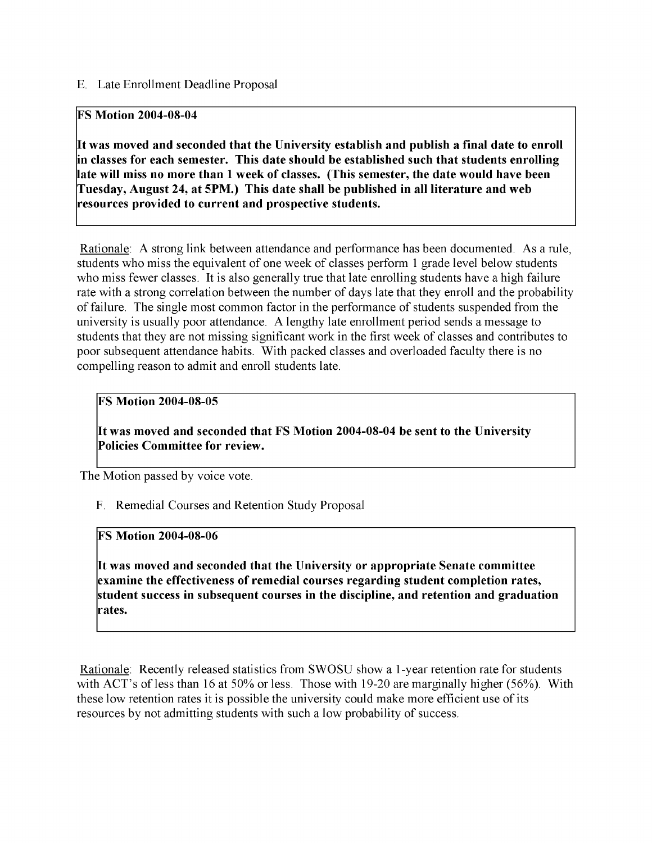# E. Late Enrollment Deadline Proposal

# **FS Motion 2004-08-04**

**It was moved and seconded that the University establish and publish a final date to enroll in classes for each semester. This date should be established such that students enrolling late will miss no more than 1 week of classes. (This semester, the date would have been Tuesday, August 24, at 5PM.) This date shall be published in all literature and web resources provided to current and prospective students.**

Rationale: A strong link between attendance and performance has been documented. As a rule, students who miss the equivalent of one week of classes perform 1 grade level below students who miss fewer classes. It is also generally true that late enrolling students have a high failure rate with a strong correlation between the number of days late that they enroll and the probability of failure. The single most common factor in the performance of students suspended from the university is usually poor attendance. A lengthy late enrollment period sends a message to students that they are not missing significant work in the first week of classes and contributes to poor subsequent attendance habits. With packed classes and overloaded faculty there is no compelling reason to admit and enroll students late.

# **FS Motion 2004-08-05**

**It was moved and seconded that FS Motion 2004-08-04 be sent to the University Policies Committee for review.**

The Motion passed by voice vote.

F. Remedial Courses and Retention Study Proposal

#### **FS Motion 2004-08-06**

**It was moved and seconded that the University or appropriate Senate committee examine the effectiveness of remedial courses regarding student completion rates, student success in subsequent courses in the discipline, and retention and graduation rates.**

Rationale: Recently released statistics from SWOSU show a 1-year retention rate for students with ACT's of less than 16 at 50% or less. Those with 19-20 are marginally higher (56%). With these low retention rates it is possible the university could make more efficient use of its resources by not admitting students with such a low probability of success.